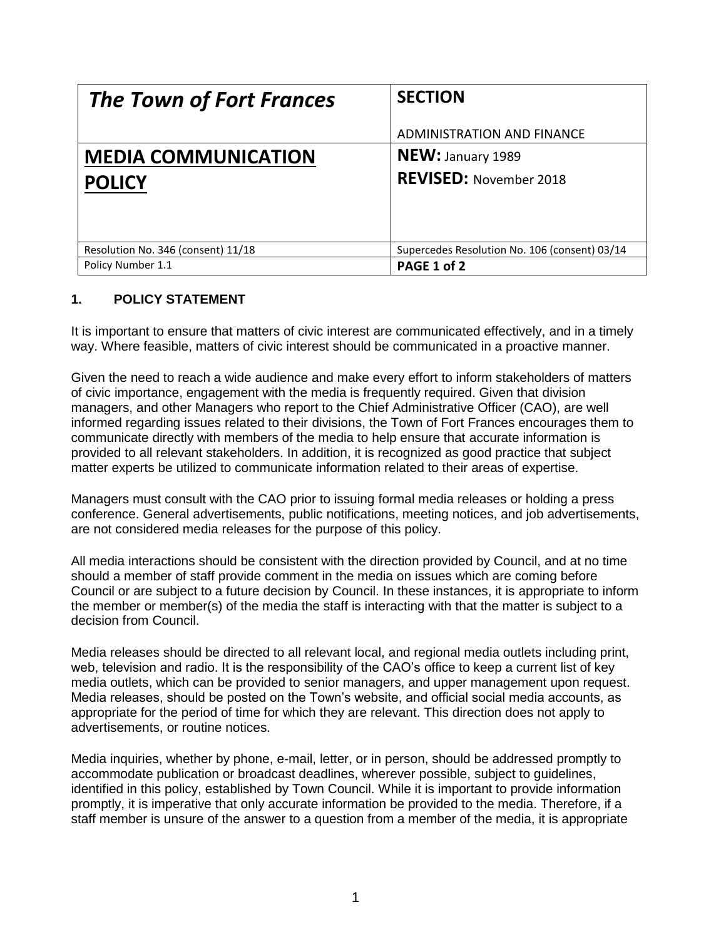| <b>The Town of Fort Frances</b>    | <b>SECTION</b>                                |
|------------------------------------|-----------------------------------------------|
|                                    | ADMINISTRATION AND FINANCE                    |
| <b>MEDIA COMMUNICATION</b>         | <b>NEW: January 1989</b>                      |
| <b>POLICY</b>                      | <b>REVISED: November 2018</b>                 |
|                                    |                                               |
| Resolution No. 346 (consent) 11/18 | Supercedes Resolution No. 106 (consent) 03/14 |
| Policy Number 1.1                  | PAGE 1 of 2                                   |

#### **1. POLICY STATEMENT**

It is important to ensure that matters of civic interest are communicated effectively, and in a timely way. Where feasible, matters of civic interest should be communicated in a proactive manner.

Given the need to reach a wide audience and make every effort to inform stakeholders of matters of civic importance, engagement with the media is frequently required. Given that division managers, and other Managers who report to the Chief Administrative Officer (CAO), are well informed regarding issues related to their divisions, the Town of Fort Frances encourages them to communicate directly with members of the media to help ensure that accurate information is provided to all relevant stakeholders. In addition, it is recognized as good practice that subject matter experts be utilized to communicate information related to their areas of expertise.

Managers must consult with the CAO prior to issuing formal media releases or holding a press conference. General advertisements, public notifications, meeting notices, and job advertisements, are not considered media releases for the purpose of this policy.

All media interactions should be consistent with the direction provided by Council, and at no time should a member of staff provide comment in the media on issues which are coming before Council or are subject to a future decision by Council. In these instances, it is appropriate to inform the member or member(s) of the media the staff is interacting with that the matter is subject to a decision from Council.

Media releases should be directed to all relevant local, and regional media outlets including print, web, television and radio. It is the responsibility of the CAO's office to keep a current list of key media outlets, which can be provided to senior managers, and upper management upon request. Media releases, should be posted on the Town's website, and official social media accounts, as appropriate for the period of time for which they are relevant. This direction does not apply to advertisements, or routine notices.

Media inquiries, whether by phone, e-mail, letter, or in person, should be addressed promptly to accommodate publication or broadcast deadlines, wherever possible, subject to guidelines, identified in this policy, established by Town Council. While it is important to provide information promptly, it is imperative that only accurate information be provided to the media. Therefore, if a staff member is unsure of the answer to a question from a member of the media, it is appropriate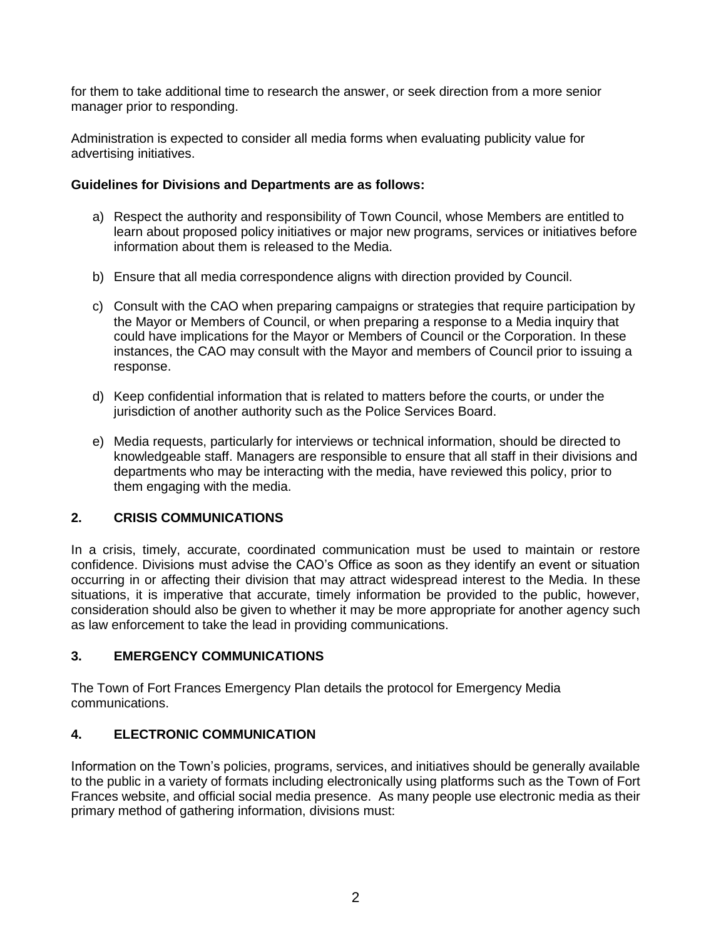for them to take additional time to research the answer, or seek direction from a more senior manager prior to responding.

Administration is expected to consider all media forms when evaluating publicity value for advertising initiatives.

#### **Guidelines for Divisions and Departments are as follows:**

- a) Respect the authority and responsibility of Town Council, whose Members are entitled to learn about proposed policy initiatives or major new programs, services or initiatives before information about them is released to the Media.
- b) Ensure that all media correspondence aligns with direction provided by Council.
- c) Consult with the CAO when preparing campaigns or strategies that require participation by the Mayor or Members of Council, or when preparing a response to a Media inquiry that could have implications for the Mayor or Members of Council or the Corporation. In these instances, the CAO may consult with the Mayor and members of Council prior to issuing a response.
- d) Keep confidential information that is related to matters before the courts, or under the jurisdiction of another authority such as the Police Services Board.
- e) Media requests, particularly for interviews or technical information, should be directed to knowledgeable staff. Managers are responsible to ensure that all staff in their divisions and departments who may be interacting with the media, have reviewed this policy, prior to them engaging with the media.

## **2. CRISIS COMMUNICATIONS**

In a crisis, timely, accurate, coordinated communication must be used to maintain or restore confidence. Divisions must advise the CAO's Office as soon as they identify an event or situation occurring in or affecting their division that may attract widespread interest to the Media. In these situations, it is imperative that accurate, timely information be provided to the public, however, consideration should also be given to whether it may be more appropriate for another agency such as law enforcement to take the lead in providing communications.

## **3. EMERGENCY COMMUNICATIONS**

The Town of Fort Frances Emergency Plan details the protocol for Emergency Media communications.

# **4. ELECTRONIC COMMUNICATION**

Information on the Town's policies, programs, services, and initiatives should be generally available to the public in a variety of formats including electronically using platforms such as the Town of Fort Frances website, and official social media presence. As many people use electronic media as their primary method of gathering information, divisions must: